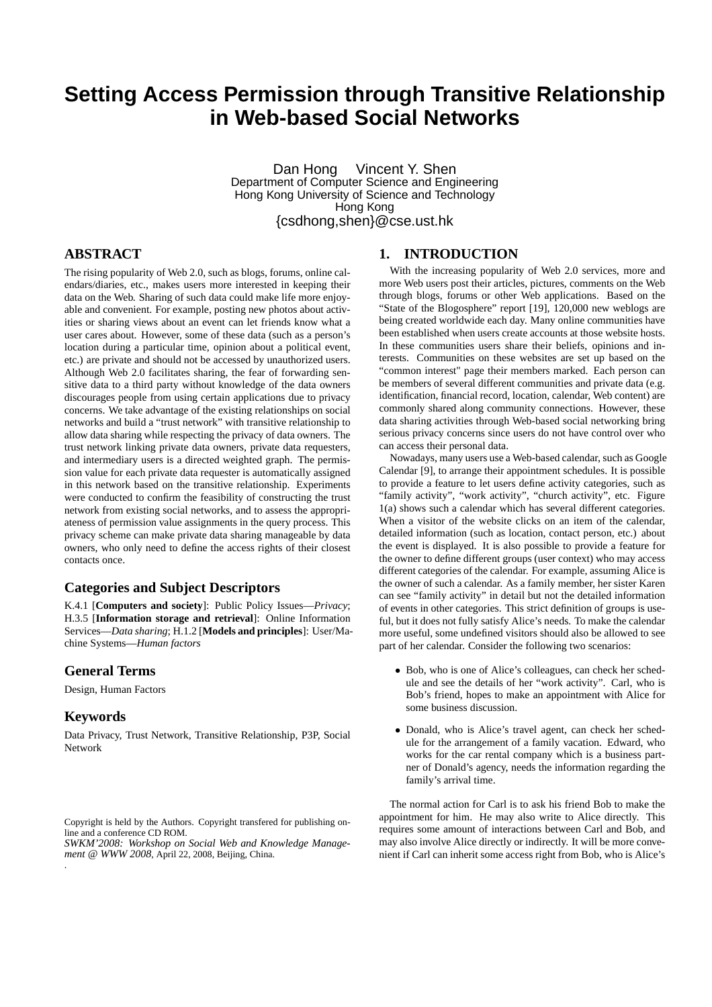# **Setting Access Permission through Transitive Relationship in Web-based Social Networks**

Dan Hong Vincent Y. Shen Department of Computer Science and Engineering Hong Kong University of Science and Technology Hong Kong {csdhong,shen}@cse.ust.hk

# **ABSTRACT**

The rising popularity of Web 2.0, such as blogs, forums, online calendars/diaries, etc., makes users more interested in keeping their data on the Web. Sharing of such data could make life more enjoyable and convenient. For example, posting new photos about activities or sharing views about an event can let friends know what a user cares about. However, some of these data (such as a person's location during a particular time, opinion about a political event, etc.) are private and should not be accessed by unauthorized users. Although Web 2.0 facilitates sharing, the fear of forwarding sensitive data to a third party without knowledge of the data owners discourages people from using certain applications due to privacy concerns. We take advantage of the existing relationships on social networks and build a "trust network" with transitive relationship to allow data sharing while respecting the privacy of data owners. The trust network linking private data owners, private data requesters, and intermediary users is a directed weighted graph. The permission value for each private data requester is automatically assigned in this network based on the transitive relationship. Experiments were conducted to confirm the feasibility of constructing the trust network from existing social networks, and to assess the appropriateness of permission value assignments in the query process. This privacy scheme can make private data sharing manageable by data owners, who only need to define the access rights of their closest contacts once.

#### **Categories and Subject Descriptors**

K.4.1 [**Computers and society**]: Public Policy Issues—*Privacy*; H.3.5 [**Information storage and retrieval**]: Online Information Services—*Data sharing*; H.1.2 [**Models and principles**]: User/Machine Systems—*Human factors*

#### **General Terms**

Design, Human Factors

#### **Keywords**

Data Privacy, Trust Network, Transitive Relationship, P3P, Social Network

# **1. INTRODUCTION**

With the increasing popularity of Web 2.0 services, more and more Web users post their articles, pictures, comments on the Web through blogs, forums or other Web applications. Based on the "State of the Blogosphere" report [19], 120,000 new weblogs are being created worldwide each day. Many online communities have been established when users create accounts at those website hosts. In these communities users share their beliefs, opinions and interests. Communities on these websites are set up based on the "common interest" page their members marked. Each person can be members of several different communities and private data (e.g. identification, financial record, location, calendar, Web content) are commonly shared along community connections. However, these data sharing activities through Web-based social networking bring serious privacy concerns since users do not have control over who can access their personal data.

Nowadays, many users use a Web-based calendar, such as Google Calendar [9], to arrange their appointment schedules. It is possible to provide a feature to let users define activity categories, such as "family activity", "work activity", "church activity", etc. Figure 1(a) shows such a calendar which has several different categories. When a visitor of the website clicks on an item of the calendar, detailed information (such as location, contact person, etc.) about the event is displayed. It is also possible to provide a feature for the owner to define different groups (user context) who may access different categories of the calendar. For example, assuming Alice is the owner of such a calendar. As a family member, her sister Karen can see "family activity" in detail but not the detailed information of events in other categories. This strict definition of groups is useful, but it does not fully satisfy Alice's needs. To make the calendar more useful, some undefined visitors should also be allowed to see part of her calendar. Consider the following two scenarios:

- Bob, who is one of Alice's colleagues, can check her schedule and see the details of her "work activity". Carl, who is Bob's friend, hopes to make an appointment with Alice for some business discussion.
- Donald, who is Alice's travel agent, can check her schedule for the arrangement of a family vacation. Edward, who works for the car rental company which is a business partner of Donald's agency, needs the information regarding the family's arrival time.

The normal action for Carl is to ask his friend Bob to make the appointment for him. He may also write to Alice directly. This requires some amount of interactions between Carl and Bob, and may also involve Alice directly or indirectly. It will be more convenient if Carl can inherit some access right from Bob, who is Alice's

Copyright is held by the Authors. Copyright transfered for publishing online and a conference CD ROM.

*SWKM'2008: Workshop on Social Web and Knowledge Management @ WWW 2008*, April 22, 2008, Beijing, China. .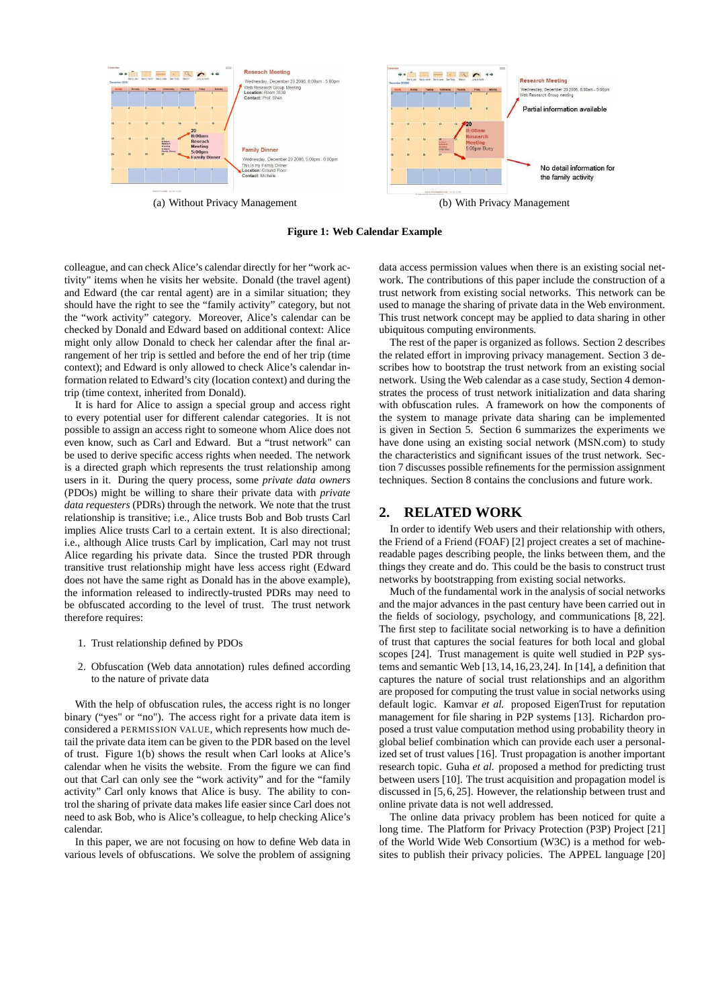



colleague, and can check Alice's calendar directly for her "work activity" items when he visits her website. Donald (the travel agent) and Edward (the car rental agent) are in a similar situation; they should have the right to see the "family activity" category, but not the "work activity" category. Moreover, Alice's calendar can be checked by Donald and Edward based on additional context: Alice might only allow Donald to check her calendar after the final arrangement of her trip is settled and before the end of her trip (time context); and Edward is only allowed to check Alice's calendar information related to Edward's city (location context) and during the trip (time context, inherited from Donald).

It is hard for Alice to assign a special group and access right to every potential user for different calendar categories. It is not possible to assign an access right to someone whom Alice does not even know, such as Carl and Edward. But a "trust network" can be used to derive specific access rights when needed. The network is a directed graph which represents the trust relationship among users in it. During the query process, some *private data owners* (PDOs) might be willing to share their private data with *private data requesters* (PDRs) through the network. We note that the trust relationship is transitive; i.e., Alice trusts Bob and Bob trusts Carl implies Alice trusts Carl to a certain extent. It is also directional; i.e., although Alice trusts Carl by implication, Carl may not trust Alice regarding his private data. Since the trusted PDR through transitive trust relationship might have less access right (Edward does not have the same right as Donald has in the above example), the information released to indirectly-trusted PDRs may need to be obfuscated according to the level of trust. The trust network therefore requires:

- 1. Trust relationship defined by PDOs
- 2. Obfuscation (Web data annotation) rules defined according to the nature of private data

With the help of obfuscation rules, the access right is no longer binary ("yes" or "no"). The access right for a private data item is considered a PERMISSION VALUE, which represents how much detail the private data item can be given to the PDR based on the level of trust. Figure 1(b) shows the result when Carl looks at Alice's calendar when he visits the website. From the figure we can find out that Carl can only see the "work activity" and for the "family activity" Carl only knows that Alice is busy. The ability to control the sharing of private data makes life easier since Carl does not need to ask Bob, who is Alice's colleague, to help checking Alice's calendar.

In this paper, we are not focusing on how to define Web data in various levels of obfuscations. We solve the problem of assigning

data access permission values when there is an existing social network. The contributions of this paper include the construction of a trust network from existing social networks. This network can be used to manage the sharing of private data in the Web environment. This trust network concept may be applied to data sharing in other ubiquitous computing environments.

The rest of the paper is organized as follows. Section 2 describes the related effort in improving privacy management. Section 3 describes how to bootstrap the trust network from an existing social network. Using the Web calendar as a case study, Section 4 demonstrates the process of trust network initialization and data sharing with obfuscation rules. A framework on how the components of the system to manage private data sharing can be implemented is given in Section 5. Section 6 summarizes the experiments we have done using an existing social network (MSN.com) to study the characteristics and significant issues of the trust network. Section 7 discusses possible refinements for the permission assignment techniques. Section 8 contains the conclusions and future work.

### **2. RELATED WORK**

In order to identify Web users and their relationship with others, the Friend of a Friend (FOAF) [2] project creates a set of machinereadable pages describing people, the links between them, and the things they create and do. This could be the basis to construct trust networks by bootstrapping from existing social networks.

Much of the fundamental work in the analysis of social networks and the major advances in the past century have been carried out in the fields of sociology, psychology, and communications [8, 22]. The first step to facilitate social networking is to have a definition of trust that captures the social features for both local and global scopes [24]. Trust management is quite well studied in P2P systems and semantic Web [13,14,16,23,24]. In [14], a definition that captures the nature of social trust relationships and an algorithm are proposed for computing the trust value in social networks using default logic. Kamvar *et al.* proposed EigenTrust for reputation management for file sharing in P2P systems [13]. Richardon proposed a trust value computation method using probability theory in global belief combination which can provide each user a personalized set of trust values [16]. Trust propagation is another important research topic. Guha *et al.* proposed a method for predicting trust between users [10]. The trust acquisition and propagation model is discussed in [5, 6, 25]. However, the relationship between trust and online private data is not well addressed.

The online data privacy problem has been noticed for quite a long time. The Platform for Privacy Protection (P3P) Project [21] of the World Wide Web Consortium (W3C) is a method for websites to publish their privacy policies. The APPEL language [20]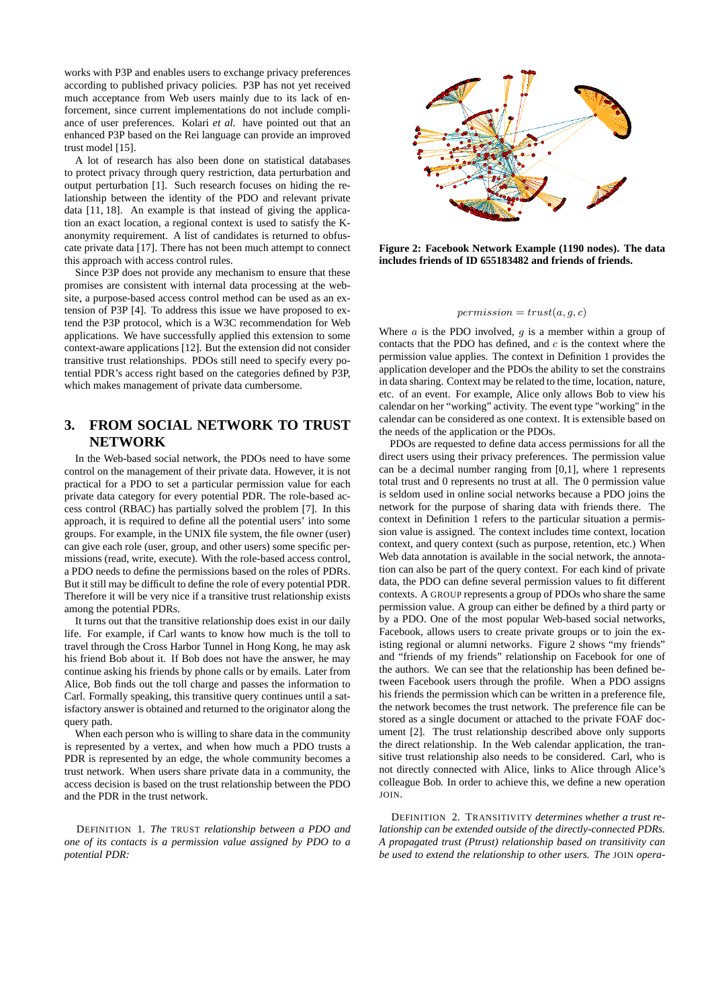works with P3P and enables users to exchange privacy preferences according to published privacy policies. P3P has not yet received much acceptance from Web users mainly due to its lack of enforcement, since current implementations do not include compliance of user preferences. Kolari *et al.* have pointed out that an enhanced P3P based on the Rei language can provide an improved trust model [15].

A lot of research has also been done on statistical databases to protect privacy through query restriction, data perturbation and output perturbation [1]. Such research focuses on hiding the relationship between the identity of the PDO and relevant private data [11, 18]. An example is that instead of giving the application an exact location, a regional context is used to satisfy the Kanonymity requirement. A list of candidates is returned to obfuscate private data [17]. There has not been much attempt to connect this approach with access control rules.

Since P3P does not provide any mechanism to ensure that these promises are consistent with internal data processing at the website, a purpose-based access control method can be used as an extension of P3P [4]. To address this issue we have proposed to extend the P3P protocol, which is a W3C recommendation for Web applications. We have successfully applied this extension to some context-aware applications [12]. But the extension did not consider transitive trust relationships. PDOs still need to specify every potential PDR's access right based on the categories defined by P3P, which makes management of private data cumbersome.

# **3. FROM SOCIAL NETWORK TO TRUST NETWORK**

In the Web-based social network, the PDOs need to have some control on the management of their private data. However, it is not practical for a PDO to set a particular permission value for each private data category for every potential PDR. The role-based access control (RBAC) has partially solved the problem [7]. In this approach, it is required to define all the potential users' into some groups. For example, in the UNIX file system, the file owner (user) can give each role (user, group, and other users) some specific permissions (read, write, execute). With the role-based access control, a PDO needs to define the permissions based on the roles of PDRs. But it still may be difficult to define the role of every potential PDR. Therefore it will be very nice if a transitive trust relationship exists among the potential PDRs.

It turns out that the transitive relationship does exist in our daily life. For example, if Carl wants to know how much is the toll to travel through the Cross Harbor Tunnel in Hong Kong, he may ask his friend Bob about it. If Bob does not have the answer, he may continue asking his friends by phone calls or by emails. Later from Alice, Bob finds out the toll charge and passes the information to Carl. Formally speaking, this transitive query continues until a satisfactory answer is obtained and returned to the originator along the query path.

When each person who is willing to share data in the community is represented by a vertex, and when how much a PDO trusts a PDR is represented by an edge, the whole community becomes a trust network. When users share private data in a community, the access decision is based on the trust relationship between the PDO and the PDR in the trust network.

DEFINITION 1. *The* TRUST *relationship between a PDO and one of its contacts is a permission value assigned by PDO to a potential PDR:*



**Figure 2: Facebook Network Example (1190 nodes). The data includes friends of ID 655183482 and friends of friends.**

#### $permission = trust(a, a, c)$

Where  $a$  is the PDO involved,  $g$  is a member within a group of contacts that the PDO has defined, and  $c$  is the context where the permission value applies. The context in Definition 1 provides the application developer and the PDOs the ability to set the constrains in data sharing. Context may be related to the time, location, nature, etc. of an event. For example, Alice only allows Bob to view his calendar on her "working" activity. The event type "working" in the calendar can be considered as one context. It is extensible based on the needs of the application or the PDOs.

PDOs are requested to define data access permissions for all the direct users using their privacy preferences. The permission value can be a decimal number ranging from [0,1], where 1 represents total trust and 0 represents no trust at all. The 0 permission value is seldom used in online social networks because a PDO joins the network for the purpose of sharing data with friends there. The context in Definition 1 refers to the particular situation a permission value is assigned. The context includes time context, location context, and query context (such as purpose, retention, etc.) When Web data annotation is available in the social network, the annotation can also be part of the query context. For each kind of private data, the PDO can define several permission values to fit different contexts. A GROUP represents a group of PDOs who share the same permission value. A group can either be defined by a third party or by a PDO. One of the most popular Web-based social networks, Facebook, allows users to create private groups or to join the existing regional or alumni networks. Figure 2 shows "my friends" and "friends of my friends" relationship on Facebook for one of the authors. We can see that the relationship has been defined between Facebook users through the profile. When a PDO assigns his friends the permission which can be written in a preference file, the network becomes the trust network. The preference file can be stored as a single document or attached to the private FOAF document [2]. The trust relationship described above only supports the direct relationship. In the Web calendar application, the transitive trust relationship also needs to be considered. Carl, who is not directly connected with Alice, links to Alice through Alice's colleague Bob. In order to achieve this, we define a new operation JOIN.

DEFINITION 2. TRANSITIVITY *determines whether a trust relationship can be extended outside of the directly-connected PDRs. A propagated trust (Ptrust) relationship based on transitivity can be used to extend the relationship to other users. The* JOIN *opera-*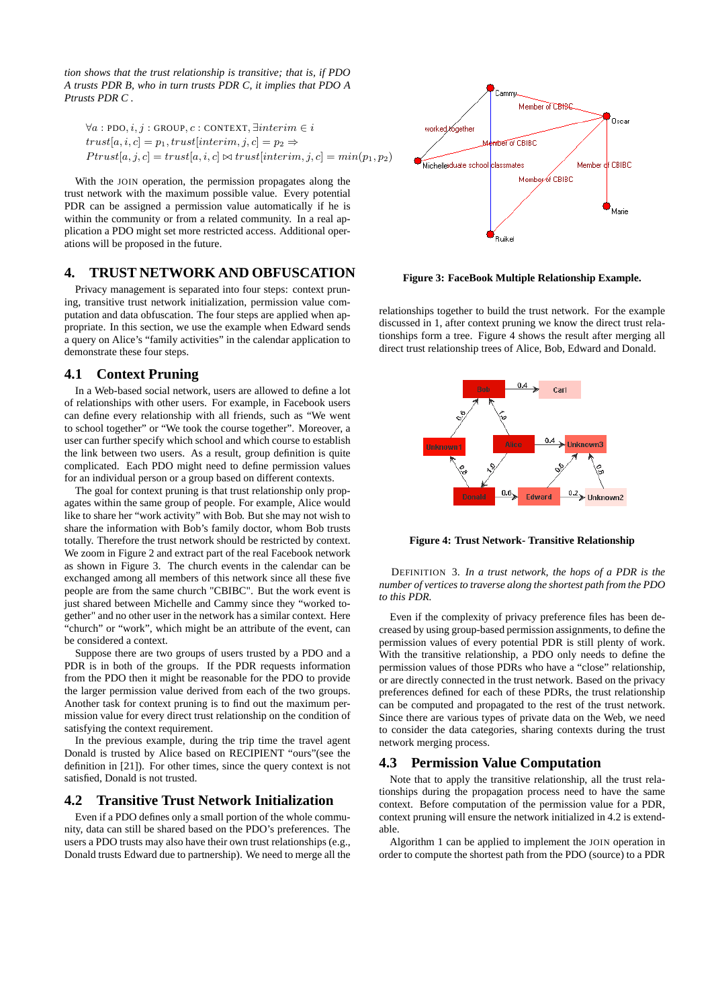*tion shows that the trust relationship is transitive; that is, if PDO A trusts PDR B, who in turn trusts PDR C, it implies that PDO A Ptrusts PDR C .*

 $\forall a : \text{PDO}, i, j : \text{GROUP}, c : \text{CONTEXT}, \exists interior \in i$  $trust[a, i, c] = p_1, trust[interim, j, c] = p_2 \Rightarrow$  $Ptrust[a, j, c] = trust[a, i, c] \bowtie trust[interim, j, c] = min(p_1, p_2)$ 

With the JOIN operation, the permission propagates along the trust network with the maximum possible value. Every potential PDR can be assigned a permission value automatically if he is within the community or from a related community. In a real application a PDO might set more restricted access. Additional operations will be proposed in the future.

#### **4. TRUST NETWORK AND OBFUSCATION**

Privacy management is separated into four steps: context pruning, transitive trust network initialization, permission value computation and data obfuscation. The four steps are applied when appropriate. In this section, we use the example when Edward sends a query on Alice's "family activities" in the calendar application to demonstrate these four steps.

#### **4.1 Context Pruning**

In a Web-based social network, users are allowed to define a lot of relationships with other users. For example, in Facebook users can define every relationship with all friends, such as "We went to school together" or "We took the course together". Moreover, a user can further specify which school and which course to establish the link between two users. As a result, group definition is quite complicated. Each PDO might need to define permission values for an individual person or a group based on different contexts.

The goal for context pruning is that trust relationship only propagates within the same group of people. For example, Alice would like to share her "work activity" with Bob. But she may not wish to share the information with Bob's family doctor, whom Bob trusts totally. Therefore the trust network should be restricted by context. We zoom in Figure 2 and extract part of the real Facebook network as shown in Figure 3. The church events in the calendar can be exchanged among all members of this network since all these five people are from the same church "CBIBC". But the work event is just shared between Michelle and Cammy since they "worked together" and no other user in the network has a similar context. Here "church" or "work", which might be an attribute of the event, can be considered a context.

Suppose there are two groups of users trusted by a PDO and a PDR is in both of the groups. If the PDR requests information from the PDO then it might be reasonable for the PDO to provide the larger permission value derived from each of the two groups. Another task for context pruning is to find out the maximum permission value for every direct trust relationship on the condition of satisfying the context requirement.

In the previous example, during the trip time the travel agent Donald is trusted by Alice based on RECIPIENT "ours"(see the definition in [21]). For other times, since the query context is not satisfied, Donald is not trusted.

#### **4.2 Transitive Trust Network Initialization**

Even if a PDO defines only a small portion of the whole community, data can still be shared based on the PDO's preferences. The users a PDO trusts may also have their own trust relationships (e.g., Donald trusts Edward due to partnership). We need to merge all the



**Figure 3: FaceBook Multiple Relationship Example.**

relationships together to build the trust network. For the example discussed in 1, after context pruning we know the direct trust relationships form a tree. Figure 4 shows the result after merging all direct trust relationship trees of Alice, Bob, Edward and Donald.



**Figure 4: Trust Network- Transitive Relationship**

DEFINITION 3. *In a trust network, the hops of a PDR is the number of vertices to traverse along the shortest path from the PDO to this PDR.*

Even if the complexity of privacy preference files has been decreased by using group-based permission assignments, to define the permission values of every potential PDR is still plenty of work. With the transitive relationship, a PDO only needs to define the permission values of those PDRs who have a "close" relationship, or are directly connected in the trust network. Based on the privacy preferences defined for each of these PDRs, the trust relationship can be computed and propagated to the rest of the trust network. Since there are various types of private data on the Web, we need to consider the data categories, sharing contexts during the trust network merging process.

#### **4.3 Permission Value Computation**

Note that to apply the transitive relationship, all the trust relationships during the propagation process need to have the same context. Before computation of the permission value for a PDR, context pruning will ensure the network initialized in 4.2 is extendable.

Algorithm 1 can be applied to implement the JOIN operation in order to compute the shortest path from the PDO (source) to a PDR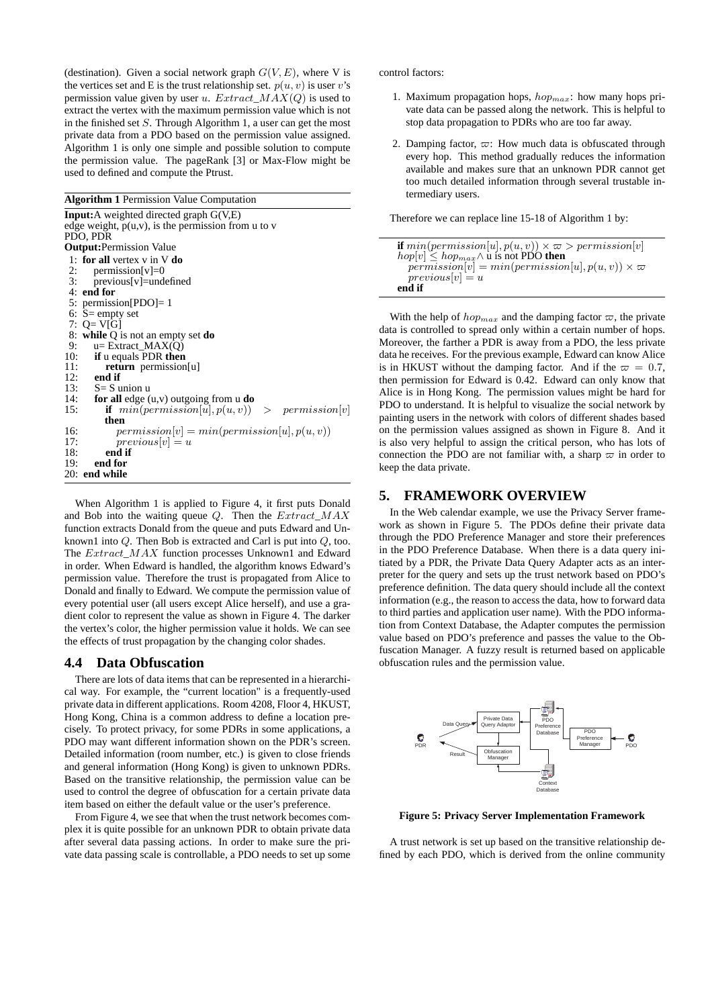(destination). Given a social network graph  $G(V, E)$ , where V is the vertices set and E is the trust relationship set.  $p(u, v)$  is user v's permission value given by user u.  $Extract\_MAX(Q)$  is used to extract the vertex with the maximum permission value which is not in the finished set S. Through Algorithm 1, a user can get the most private data from a PDO based on the permission value assigned. Algorithm 1 is only one simple and possible solution to compute the permission value. The pageRank [3] or Max-Flow might be used to defined and compute the Ptrust.

**Algorithm 1** Permission Value Computation

| <b>Input:</b> A weighted directed graph $G(V,E)$             |
|--------------------------------------------------------------|
| edge weight, $p(u,v)$ , is the permission from u to v        |
| PDO, PDR                                                     |
| <b>Output:</b> Permission Value                              |
| 1: for all vertex $v$ in $V$ do                              |
| 2:<br>$permission[v]=0$                                      |
| 3: previous[v]=undefined                                     |
| $4:$ end for                                                 |
| 5: permission $[PDO]=1$                                      |
| 6: $S=$ empty set                                            |
| 7: $Q=V[G]$                                                  |
| 8: while Q is not an empty set do                            |
| 9:<br>$u =$ Extract MAX(O)                                   |
| 10:<br><b>if</b> u equals PDR <b>then</b>                    |
| 11:<br><b>return</b> permission[u]                           |
| 12:<br>end if                                                |
| 13:<br>$S = S$ union u                                       |
| for all edge $(u, v)$ outgoing from u do<br>14:              |
| <b>if</b> $min(permsion[u], p(u, v)) > permission[v]$<br>15: |
| then                                                         |
| $permission[v] = min(permission[u], p(u, v))$<br>16:         |
| 17:<br>$previously = u$                                      |
| 18:<br>end if                                                |
| end for<br>19:                                               |
| 20: end while                                                |
|                                                              |

When Algorithm 1 is applied to Figure 4, it first puts Donald and Bob into the waiting queue  $Q$ . Then the  $Extract\_MAX$ function extracts Donald from the queue and puts Edward and Unknown1 into Q. Then Bob is extracted and Carl is put into Q, too. The Extract\_MAX function processes Unknown1 and Edward in order. When Edward is handled, the algorithm knows Edward's permission value. Therefore the trust is propagated from Alice to Donald and finally to Edward. We compute the permission value of every potential user (all users except Alice herself), and use a gradient color to represent the value as shown in Figure 4. The darker the vertex's color, the higher permission value it holds. We can see the effects of trust propagation by the changing color shades.

#### **4.4 Data Obfuscation**

There are lots of data items that can be represented in a hierarchical way. For example, the "current location" is a frequently-used private data in different applications. Room 4208, Floor 4, HKUST, Hong Kong, China is a common address to define a location precisely. To protect privacy, for some PDRs in some applications, a PDO may want different information shown on the PDR's screen. Detailed information (room number, etc.) is given to close friends and general information (Hong Kong) is given to unknown PDRs. Based on the transitive relationship, the permission value can be used to control the degree of obfuscation for a certain private data item based on either the default value or the user's preference.

From Figure 4, we see that when the trust network becomes complex it is quite possible for an unknown PDR to obtain private data after several data passing actions. In order to make sure the private data passing scale is controllable, a PDO needs to set up some control factors:

- 1. Maximum propagation hops,  $hop_{max}$ : how many hops private data can be passed along the network. This is helpful to stop data propagation to PDRs who are too far away.
- 2. Damping factor,  $\varpi$ : How much data is obfuscated through every hop. This method gradually reduces the information available and makes sure that an unknown PDR cannot get too much detailed information through several trustable intermediary users.

Therefore we can replace line 15-18 of Algorithm 1 by:

**if**  $min(permission[u], p(u, v)) \times \varpi$  > permission[v]  $hop[v] \leq hop_{max} \land u$  is not PDO then  $permission[v] = min(permission[u], p(u, v)) \times \varpi$  $previous[v] = u$ **end if**

With the help of  $hop_{max}$  and the damping factor  $\varpi$ , the private data is controlled to spread only within a certain number of hops. Moreover, the farther a PDR is away from a PDO, the less private data he receives. For the previous example, Edward can know Alice is in HKUST without the damping factor. And if the  $\varpi = 0.7$ , then permission for Edward is 0.42. Edward can only know that Alice is in Hong Kong. The permission values might be hard for PDO to understand. It is helpful to visualize the social network by painting users in the network with colors of different shades based on the permission values assigned as shown in Figure 8. And it is also very helpful to assign the critical person, who has lots of connection the PDO are not familiar with, a sharp  $\varpi$  in order to keep the data private.

#### **5. FRAMEWORK OVERVIEW**

In the Web calendar example, we use the Privacy Server framework as shown in Figure 5. The PDOs define their private data through the PDO Preference Manager and store their preferences in the PDO Preference Database. When there is a data query initiated by a PDR, the Private Data Query Adapter acts as an interpreter for the query and sets up the trust network based on PDO's preference definition. The data query should include all the context information (e.g., the reason to access the data, how to forward data to third parties and application user name). With the PDO information from Context Database, the Adapter computes the permission value based on PDO's preference and passes the value to the Obfuscation Manager. A fuzzy result is returned based on applicable obfuscation rules and the permission value.



**Figure 5: Privacy Server Implementation Framework**

A trust network is set up based on the transitive relationship defined by each PDO, which is derived from the online community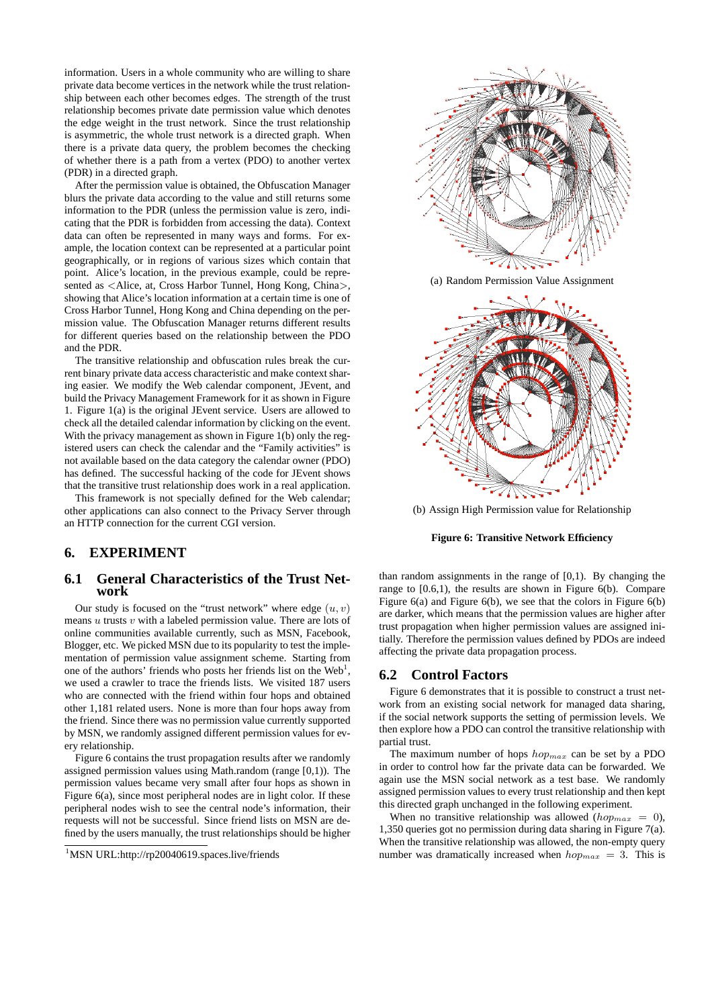information. Users in a whole community who are willing to share private data become vertices in the network while the trust relationship between each other becomes edges. The strength of the trust relationship becomes private date permission value which denotes the edge weight in the trust network. Since the trust relationship is asymmetric, the whole trust network is a directed graph. When there is a private data query, the problem becomes the checking of whether there is a path from a vertex (PDO) to another vertex (PDR) in a directed graph.

After the permission value is obtained, the Obfuscation Manager blurs the private data according to the value and still returns some information to the PDR (unless the permission value is zero, indicating that the PDR is forbidden from accessing the data). Context data can often be represented in many ways and forms. For example, the location context can be represented at a particular point geographically, or in regions of various sizes which contain that point. Alice's location, in the previous example, could be represented as <Alice, at, Cross Harbor Tunnel, Hong Kong, China>, showing that Alice's location information at a certain time is one of Cross Harbor Tunnel, Hong Kong and China depending on the permission value. The Obfuscation Manager returns different results for different queries based on the relationship between the PDO and the PDR.

The transitive relationship and obfuscation rules break the current binary private data access characteristic and make context sharing easier. We modify the Web calendar component, JEvent, and build the Privacy Management Framework for it as shown in Figure 1. Figure 1(a) is the original JEvent service. Users are allowed to check all the detailed calendar information by clicking on the event. With the privacy management as shown in Figure 1(b) only the registered users can check the calendar and the "Family activities" is not available based on the data category the calendar owner (PDO) has defined. The successful hacking of the code for JEvent shows that the transitive trust relationship does work in a real application.

This framework is not specially defined for the Web calendar; other applications can also connect to the Privacy Server through an HTTP connection for the current CGI version.

#### **6. EXPERIMENT**

#### **6.1 General Characteristics of the Trust Network**

Our study is focused on the "trust network" where edge  $(u, v)$ means  $u$  trusts  $v$  with a labeled permission value. There are lots of online communities available currently, such as MSN, Facebook, Blogger, etc. We picked MSN due to its popularity to test the implementation of permission value assignment scheme. Starting from one of the authors' friends who posts her friends list on the  $Web<sup>1</sup>$ , we used a crawler to trace the friends lists. We visited 187 users who are connected with the friend within four hops and obtained other 1,181 related users. None is more than four hops away from the friend. Since there was no permission value currently supported by MSN, we randomly assigned different permission values for every relationship.

Figure 6 contains the trust propagation results after we randomly assigned permission values using Math.random (range [0,1)). The permission values became very small after four hops as shown in Figure 6(a), since most peripheral nodes are in light color. If these peripheral nodes wish to see the central node's information, their requests will not be successful. Since friend lists on MSN are defined by the users manually, the trust relationships should be higher



(a) Random Permission Value Assignment



(b) Assign High Permission value for Relationship

#### **Figure 6: Transitive Network Efficiency**

than random assignments in the range of [0,1). By changing the range to [0.6,1), the results are shown in Figure 6(b). Compare Figure 6(a) and Figure 6(b), we see that the colors in Figure 6(b) are darker, which means that the permission values are higher after trust propagation when higher permission values are assigned initially. Therefore the permission values defined by PDOs are indeed affecting the private data propagation process.

#### **6.2 Control Factors**

Figure 6 demonstrates that it is possible to construct a trust network from an existing social network for managed data sharing, if the social network supports the setting of permission levels. We then explore how a PDO can control the transitive relationship with partial trust.

The maximum number of hops  $hop_{max}$  can be set by a PDO in order to control how far the private data can be forwarded. We again use the MSN social network as a test base. We randomly assigned permission values to every trust relationship and then kept this directed graph unchanged in the following experiment.

When no transitive relationship was allowed  $(hop_{max} = 0)$ , 1,350 queries got no permission during data sharing in Figure 7(a). When the transitive relationship was allowed, the non-empty query number was dramatically increased when  $hop_{max} = 3$ . This is

<sup>1</sup>MSN URL:http://rp20040619.spaces.live/friends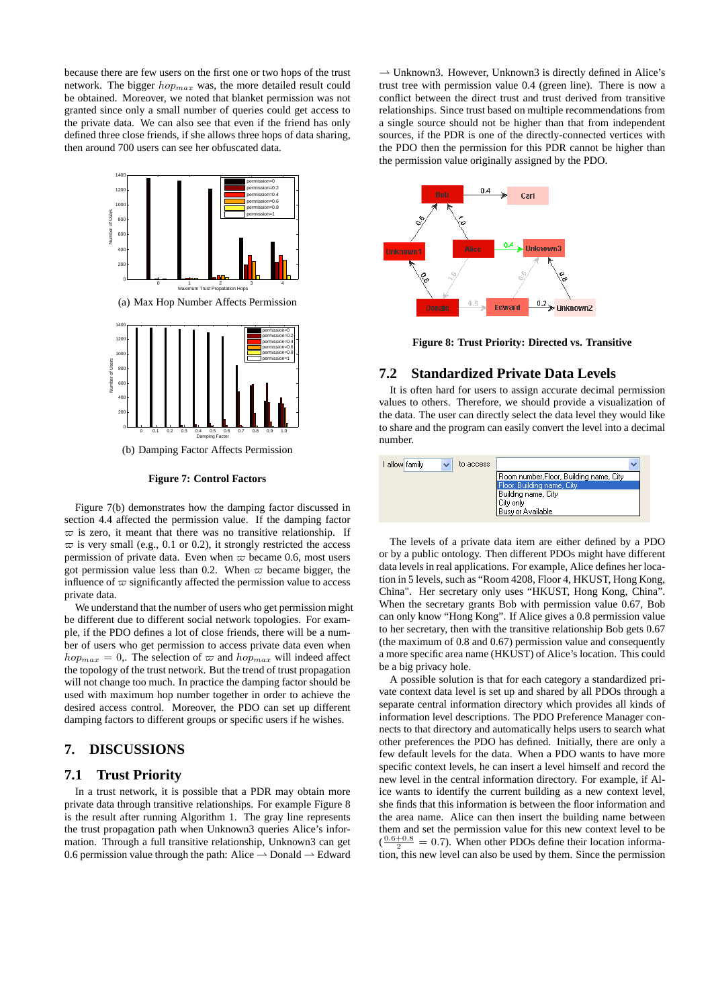because there are few users on the first one or two hops of the trust network. The bigger  $hop_{max}$  was, the more detailed result could be obtained. Moreover, we noted that blanket permission was not granted since only a small number of queries could get access to the private data. We can also see that even if the friend has only defined three close friends, if she allows three hops of data sharing, then around 700 users can see her obfuscated data.



(a) Max Hop Number Affects Permission



(b) Damping Factor Affects Permission



Figure 7(b) demonstrates how the damping factor discussed in section 4.4 affected the permission value. If the damping factor  $\varpi$  is zero, it meant that there was no transitive relationship. If  $\varpi$  is very small (e.g., 0.1 or 0.2), it strongly restricted the access permission of private data. Even when  $\varpi$  became 0.6, most users got permission value less than 0.2. When  $\varpi$  became bigger, the influence of  $\varpi$  significantly affected the permission value to access private data.

We understand that the number of users who get permission might be different due to different social network topologies. For example, if the PDO defines a lot of close friends, there will be a number of users who get permission to access private data even when  $hop_{max} = 0$ . The selection of  $\varpi$  and  $hop_{max}$  will indeed affect the topology of the trust network. But the trend of trust propagation will not change too much. In practice the damping factor should be used with maximum hop number together in order to achieve the desired access control. Moreover, the PDO can set up different damping factors to different groups or specific users if he wishes.

### **7. DISCUSSIONS**

#### **7.1 Trust Priority**

In a trust network, it is possible that a PDR may obtain more private data through transitive relationships. For example Figure 8 is the result after running Algorithm 1. The gray line represents the trust propagation path when Unknown3 queries Alice's information. Through a full transitive relationship, Unknown3 can get 0.6 permission value through the path: Alice  $\rightarrow$  Donald  $\rightarrow$  Edward

 $\rightarrow$  Unknown3. However, Unknown3 is directly defined in Alice's trust tree with permission value 0.4 (green line). There is now a conflict between the direct trust and trust derived from transitive relationships. Since trust based on multiple recommendations from a single source should not be higher than that from independent sources, if the PDR is one of the directly-connected vertices with the PDO then the permission for this PDR cannot be higher than the permission value originally assigned by the PDO.



**Figure 8: Trust Priority: Directed vs. Transitive**

#### **7.2 Standardized Private Data Levels**

It is often hard for users to assign accurate decimal permission values to others. Therefore, we should provide a visualization of the data. The user can directly select the data level they would like to share and the program can easily convert the level into a decimal number.



The levels of a private data item are either defined by a PDO or by a public ontology. Then different PDOs might have different data levels in real applications. For example, Alice defines her location in 5 levels, such as "Room 4208, Floor 4, HKUST, Hong Kong, China". Her secretary only uses "HKUST, Hong Kong, China". When the secretary grants Bob with permission value 0.67, Bob can only know "Hong Kong". If Alice gives a 0.8 permission value to her secretary, then with the transitive relationship Bob gets 0.67 (the maximum of 0.8 and 0.67) permission value and consequently a more specific area name (HKUST) of Alice's location. This could be a big privacy hole.

A possible solution is that for each category a standardized private context data level is set up and shared by all PDOs through a separate central information directory which provides all kinds of information level descriptions. The PDO Preference Manager connects to that directory and automatically helps users to search what other preferences the PDO has defined. Initially, there are only a few default levels for the data. When a PDO wants to have more specific context levels, he can insert a level himself and record the new level in the central information directory. For example, if Alice wants to identify the current building as a new context level, she finds that this information is between the floor information and the area name. Alice can then insert the building name between them and set the permission value for this new context level to be  $(\frac{0.6+0.8}{2} = 0.7)$ . When other PDOs define their location information, this new level can also be used by them. Since the permission